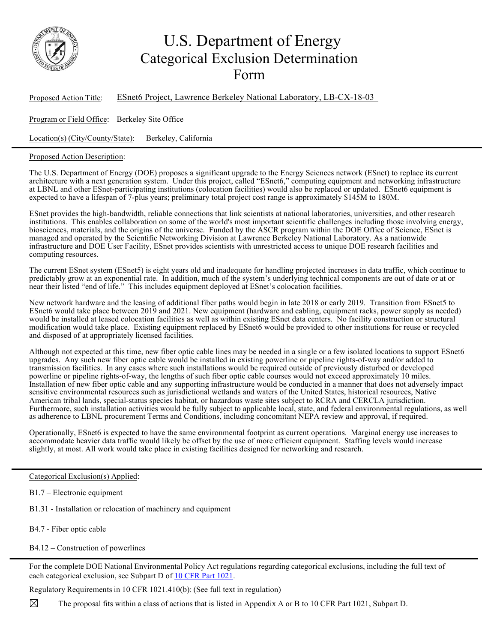

## U.S. Department of Energy Categorical Exclusion Determination Form

| Proposed Action Title: | ESnet6 Project, Lawrence Berkeley National Laboratory, LB-CX-18-03 |
|------------------------|--------------------------------------------------------------------|
|                        |                                                                    |

Program or Field Office: Berkeley Site Office

Location(s) (City/County/State): Berkeley, California

## Proposed Action Description:

The U.S. Department of Energy (DOE) proposes a significant upgrade to the Energy Sciences network (ESnet) to replace its current architecture with a next generation system. Under this project, called "ESnet6," computing equipment and networking infrastructure at LBNL and other ESnet-participating institutions (colocation facilities) would also be replaced or updated. ESnet6 equipment is expected to have a lifespan of 7-plus years; preliminary total project cost range is approximately \$145M to 180M.

ESnet provides the high-bandwidth, reliable connections that link scientists at national laboratories, universities, and other research institutions. This enables collaboration on some of the world's most important scientific challenges including those involving energy, biosciences, materials, and the origins of the universe. Funded by the ASCR program within the DOE Office of Science, ESnet is managed and operated by the Scientific Networking Division at Lawrence Berkeley National Laboratory. As a nationwide infrastructure and DOE User Facility, ESnet provides scientists with unrestricted access to unique DOE research facilities and computing resources.

The current ESnet system (ESnet5) is eight years old and inadequate for handling projected increases in data traffic, which continue to predictably grow at an exponential rate. In addition, much of the system's underlying technical components are out of date or at or near their listed "end of life." This includes equipment deployed at ESnet's colocation facilities.

New network hardware and the leasing of additional fiber paths would begin in late 2018 or early 2019. Transition from ESnet5 to ESnet6 would take place between 2019 and 2021. New equipment (hardware and cabling, equipment racks, power supply as needed) would be installed at leased colocation facilities as well as within existing ESnet data centers. No facility construction or structural modification would take place. Existing equipment replaced by ESnet6 would be provided to other institutions for reuse or recycled and disposed of at appropriately licensed facilities.

Although not expected at this time, new fiber optic cable lines may be needed in a single or a few isolated locations to support ESnet6 upgrades. Any such new fiber optic cable would be installed in existing powerline or pipeline rights-of-way and/or added to transmission facilities. In any cases where such installations would be required outside of previously disturbed or developed powerline or pipeline rights-of-way, the lengths of such fiber optic cable courses would not exceed approximately 10 miles. Installation of new fiber optic cable and any supporting infrastructure would be conducted in a manner that does not adversely impact sensitive environmental resources such as jurisdictional wetlands and waters of the United States, historical resources, Native American tribal lands, special-status species habitat, or hazardous waste sites subject to RCRA and CERCLA jurisdiction. Furthermore, such installation activities would be fully subject to applicable local, state, and federal environmental regulations, as well as adherence to LBNL procurement Terms and Conditions, including concomitant NEPA review and approval, if required.

Operationally, ESnet6 is expected to have the same environmental footprint as current operations. Marginal energy use increases to accommodate heavier data traffic would likely be offset by the use of more efficient equipment. Staffing levels would increase slightly, at most. All work would take place in existing facilities designed for networking and research.

## Categorical Exclusion(s) Applied:

- B1.7 Electronic equipment
- B1.31 Installation or relocation of machinery and equipment
- B4.7 Fiber optic cable
- B4.12 Construction of powerlines

For the complete DOE National Environmental Policy Act regulations regarding categorical exclusions, including the full text of each categorical exclusion, see Subpart D of 10 CFR Part 1021.

Regulatory Requirements in 10 CFR 1021.410(b): (See full text in regulation)

 $\boxtimes$ The proposal fits within a class of actions that is listed in Appendix A or B to 10 CFR Part 1021, Subpart D.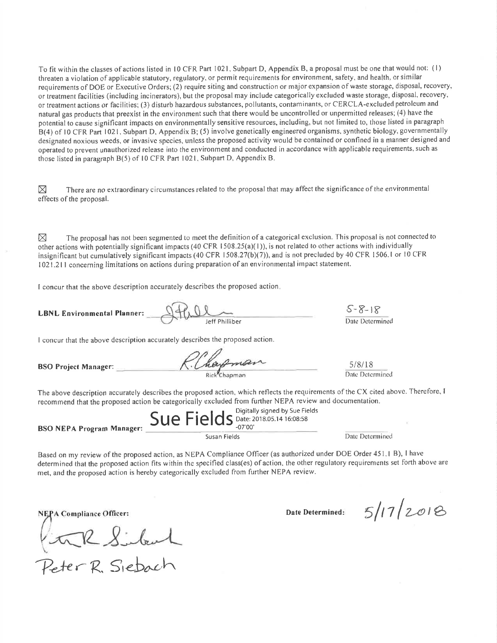To fit within the classes of actions listed in 10 CFR Part 1021, Subpart D, Appendix B, a proposal must be one that would not: (1) threaten a violation of applicable statutory, regulatory, or permit requirements for environment, safety, and health, or similar requirements of DOE or Executive Orders; (2) require siting and construction or major expansion of waste storage, disposal, recovery, or treatment facilities (including incinerators), but the proposal may include categorically excluded waste storage, disposal, recovery, or treatment actions or facilities; (3) disturb hazardous substances, pollutants, contaminants, or CERCLA-excluded petroleum and natural gas products that preexist in the environment such that there would be uncontrolled or unpermitted releases; (4) have the potential to cause significant impacts on environmentally sensitive resources, including, but not limited to, those listed in paragraph B(4) of 10 CFR Part 1021, Subpart D, Appendix B; (5) involve genetically engineered organisms, synthetic biology, governmentally designated noxious weeds, or invasive species, unless the proposed activity would be contained or confined in a manner designed and operated to prevent unauthorized release into the environment and conducted in accordance with applicable requirements, such as those listed in paragraph B(5) of 10 CFR Part 1021, Subpart D, Appendix B.

There are no extraordinary circumstances related to the proposal that may affect the significance of the environmental ⊠ effects of the proposal.

The proposal has not been segmented to meet the definition of a categorical exclusion. This proposal is not connected to ⊠ other actions with potentially significant impacts (40 CFR 1508.25(a)(1)), is not related to other actions with individually insignificant but cumulatively significant impacts (40 CFR 1508.27(b)(7)), and is not precluded by 40 CFR 1506.1 or 10 CFR 1021.211 concerning limitations on actions during preparation of an environmental impact statement.

I concur that the above description accurately describes the proposed action.

 $QffLQ$ **LBNL Environmental Planner:** 

 $5 - 8 - 18$ Date Determined

I concur that the above description accurately describes the proposed action.

**BSO Project Manager:** 

R. Chapman

The above description accurately describes the proposed action, which reflects the requirements of the CX cited above. Therefore, I recommend that the proposed action be categorically excluded from further NEPA review and documentation.

Digitally signed by Sue Fields Sue Fields Date: 2018.05.14 16:08:58 **BSO NEPA Program Manager:** Susan Fields

Date Determined

Based on my review of the proposed action, as NEPA Compliance Officer (as authorized under DOE Order 451.1 B), I have determined that the proposed action fits within the specified class(es) of action, the other regulatory requirements set forth above are met, and the proposed action is hereby categorically excluded from further NEPA review.

NEPA Compliance Officer:

Peter R. Siebach

Date Determined:

 $5/17/2018$ 

 $5/8/18$ 

Date Determined